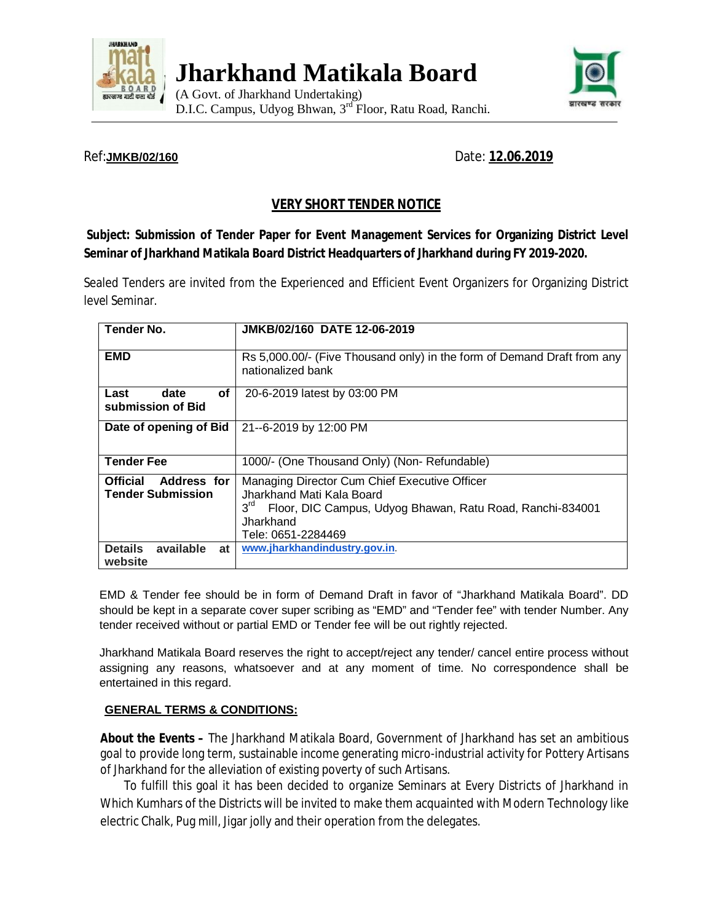

**Jharkhand Matikala Board**

(A Govt. of Jharkhand Undertaking) D.I.C. Campus, Udyog Bhwan, 3<sup>rd</sup> Floor, Ratu Road, Ranchi.



# Ref:**JMKB/02/160** Date: **12.06.2019**

# **VERY SHORT TENDER NOTICE**

## **Subject: Submission of Tender Paper for Event Management Services for Organizing District Level Seminar of Jharkhand Matikala Board District Headquarters of Jharkhand during FY 2019-2020.**

Sealed Tenders are invited from the Experienced and Efficient Event Organizers for Organizing District level Seminar.

| <b>Tender No.</b>                                          | JMKB/02/160 DATE 12-06-2019                                                                                                                                                                   |
|------------------------------------------------------------|-----------------------------------------------------------------------------------------------------------------------------------------------------------------------------------------------|
|                                                            |                                                                                                                                                                                               |
| <b>EMD</b>                                                 | Rs 5,000.00/- (Five Thousand only) in the form of Demand Draft from any<br>nationalized bank                                                                                                  |
| оf<br>Last<br>date<br>submission of Bid                    | 20-6-2019 latest by 03:00 PM                                                                                                                                                                  |
| Date of opening of Bid                                     | 21--6-2019 by 12:00 PM                                                                                                                                                                        |
| <b>Tender Fee</b>                                          | 1000/- (One Thousand Only) (Non-Refundable)                                                                                                                                                   |
| Address for<br><b>Official</b><br><b>Tender Submission</b> | Managing Director Cum Chief Executive Officer<br>Jharkhand Mati Kala Board<br>3 <sup>rd</sup><br>Floor, DIC Campus, Udyog Bhawan, Ratu Road, Ranchi-834001<br>Jharkhand<br>Tele: 0651-2284469 |
| available<br><b>Details</b><br>at<br>website               | www.jharkhandindustry.gov.in.                                                                                                                                                                 |

EMD & Tender fee should be in form of Demand Draft in favor of "Jharkhand Matikala Board". DD should be kept in a separate cover super scribing as "EMD" and "Tender fee" with tender Number. Any tender received without or partial EMD or Tender fee will be out rightly rejected.

Jharkhand Matikala Board reserves the right to accept/reject any tender/ cancel entire process without assigning any reasons, whatsoever and at any moment of time. No correspondence shall be entertained in this regard.

#### **GENERAL TERMS & CONDITIONS:**

**About the Events –** The Jharkhand Matikala Board, Government of Jharkhand has set an ambitious goal to provide long term, sustainable income generating micro-industrial activity for Pottery Artisans of Jharkhand for the alleviation of existing poverty of such Artisans.

To fulfill this goal it has been decided to organize Seminars at Every Districts of Jharkhand in Which Kumhars of the Districts will be invited to make them acquainted with Modern Technology like electric Chalk, Pug mill, Jigar jolly and their operation from the delegates.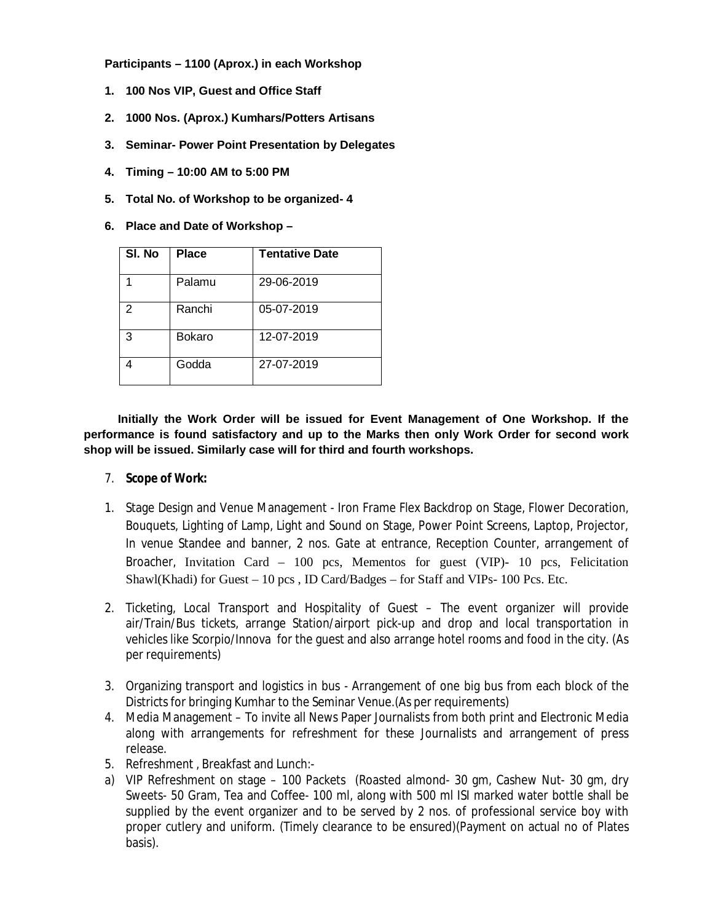**Participants – 1100 (Aprox.) in each Workshop**

- **1. 100 Nos VIP, Guest and Office Staff**
- **2. 1000 Nos. (Aprox.) Kumhars/Potters Artisans**
- **3. Seminar- Power Point Presentation by Delegates**
- **4. Timing – 10:00 AM to 5:00 PM**
- **5. Total No. of Workshop to be organized- 4**
- **6. Place and Date of Workshop**

| SI. No        | <b>Place</b>  | <b>Tentative Date</b> |
|---------------|---------------|-----------------------|
|               | Palamu        | 29-06-2019            |
| $\mathcal{P}$ | Ranchi        | 05-07-2019            |
| 3             | <b>Bokaro</b> | 12-07-2019            |
|               | Godda         | 27-07-2019            |

 **Initially the Work Order will be issued for Event Management of One Workshop. If the performance is found satisfactory and up to the Marks then only Work Order for second work shop will be issued. Similarly case will for third and fourth workshops.** 

#### 7. **Scope of Work:**

- 1. Stage Design and Venue Management Iron Frame Flex Backdrop on Stage, Flower Decoration, Bouquets, Lighting of Lamp, Light and Sound on Stage, Power Point Screens, Laptop, Projector, In venue Standee and banner, 2 nos. Gate at entrance, Reception Counter, arrangement of Broacher, Invitation Card – 100 pcs, Mementos for guest (VIP)- 10 pcs, Felicitation Shawl(Khadi) for Guest – 10 pcs , ID Card/Badges – for Staff and VIPs- 100 Pcs. Etc.
- 2. Ticketing, Local Transport and Hospitality of Guest The event organizer will provide air/Train/Bus tickets, arrange Station/airport pick-up and drop and local transportation in vehicles like Scorpio/Innova for the guest and also arrange hotel rooms and food in the city. (As per requirements)
- 3. Organizing transport and logistics in bus Arrangement of one big bus from each block of the Districts for bringing Kumhar to the Seminar Venue.(As per requirements)
- 4. Media Management To invite all News Paper Journalists from both print and Electronic Media along with arrangements for refreshment for these Journalists and arrangement of press release.
- 5. Refreshment , Breakfast and Lunch:-
- a) VIP Refreshment on stage 100 Packets (Roasted almond- 30 gm, Cashew Nut- 30 gm, dry Sweets- 50 Gram, Tea and Coffee- 100 ml, along with 500 ml ISI marked water bottle shall be supplied by the event organizer and to be served by 2 nos. of professional service boy with proper cutlery and uniform. (Timely clearance to be ensured)(Payment on actual no of Plates basis).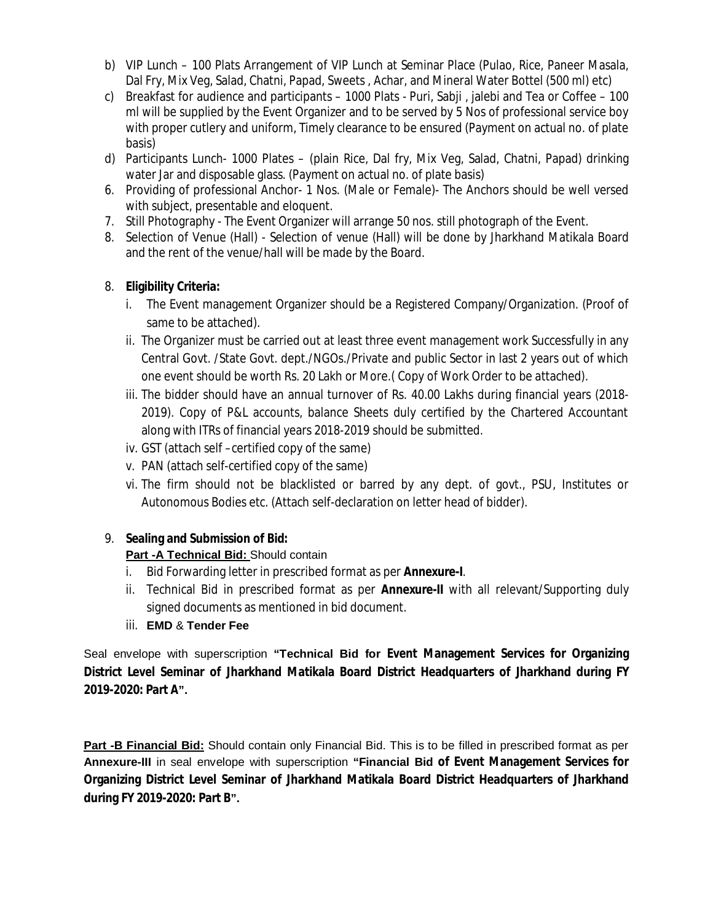- b) VIP Lunch 100 Plats Arrangement of VIP Lunch at Seminar Place (Pulao, Rice, Paneer Masala, Dal Fry, Mix Veg, Salad, Chatni, Papad, Sweets , Achar, and Mineral Water Bottel (500 ml) etc)
- c) Breakfast for audience and participants 1000 Plats Puri, Sabji , jalebi and Tea or Coffee 100 ml will be supplied by the Event Organizer and to be served by 5 Nos of professional service boy with proper cutlery and uniform, Timely clearance to be ensured (Payment on actual no. of plate basis)
- d) Participants Lunch- 1000 Plates (plain Rice, Dal fry, Mix Veg, Salad, Chatni, Papad) drinking water Jar and disposable glass. (Payment on actual no. of plate basis)
- 6. Providing of professional Anchor- 1 Nos. (Male or Female)- The Anchors should be well versed with subject, presentable and eloquent.
- 7. Still Photography The Event Organizer will arrange 50 nos. still photograph of the Event.
- 8. Selection of Venue (Hall) Selection of venue (Hall) will be done by Jharkhand Matikala Board and the rent of the venue/hall will be made by the Board.

# 8. **Eligibility Criteria:**

- i. The Event management Organizer should be a Registered Company/Organization. (Proof of same to be attached).
- ii. The Organizer must be carried out at least three event management work Successfully in any Central Govt. /State Govt. dept./NGOs./Private and public Sector in last 2 years out of which one event should be worth Rs. 20 Lakh or More.( Copy of Work Order to be attached).
- iii. The bidder should have an annual turnover of Rs. 40.00 Lakhs during financial years (2018- 2019). Copy of P&L accounts, balance Sheets duly certified by the Chartered Accountant along with ITRs of financial years 2018-2019 should be submitted.
- iv. GST (attach self –certified copy of the same)
- v. PAN (attach self-certified copy of the same)
- vi. The firm should not be blacklisted or barred by any dept. of govt., PSU, Institutes or Autonomous Bodies etc. (Attach self-declaration on letter head of bidder).

# 9. **Sealing and Submission of Bid:**

## **Part -A Technical Bid:** Should contain

- i. Bid Forwarding letter in prescribed format as per **Annexure-I**.
- ii. Technical Bid in prescribed format as per **Annexure-II** with all relevant/Supporting duly signed documents as mentioned in bid document.
- iii. **EMD** & **Tender Fee**

Seal envelope with superscription **"Technical Bid for Event Management Services for Organizing District Level Seminar of Jharkhand Matikala Board District Headquarters of Jharkhand during FY 2019-2020: Part A".**

**Part -B Financial Bid:** Should contain only Financial Bid. This is to be filled in prescribed format as per **Annexure-III** in seal envelope with superscription **"Financial Bid of Event Management Services for Organizing District Level Seminar of Jharkhand Matikala Board District Headquarters of Jharkhand during FY 2019-2020: Part B".**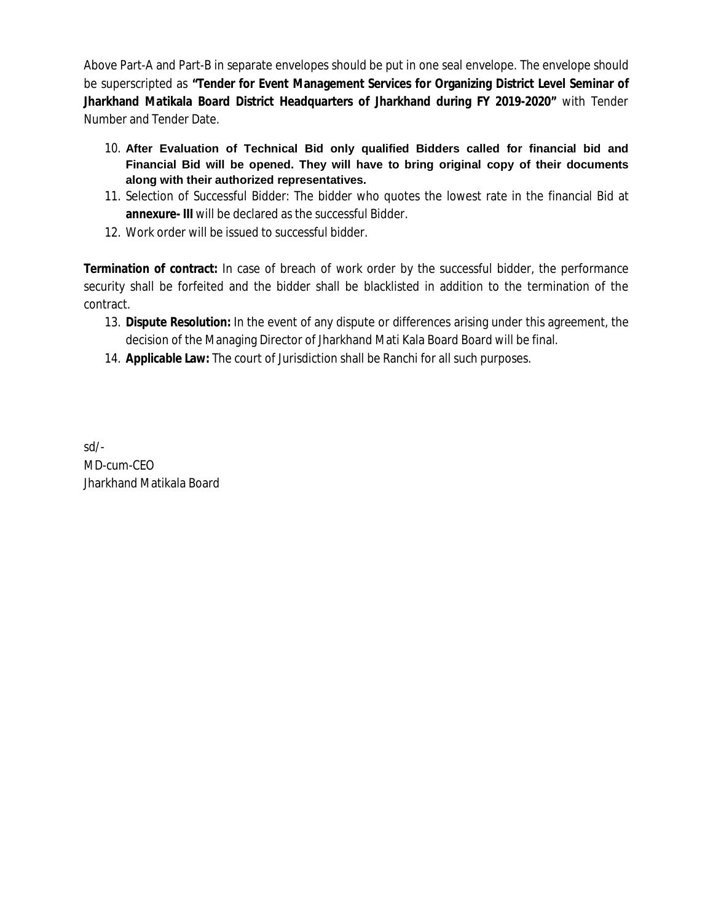Above Part-A and Part-B in separate envelopes should be put in one seal envelope. The envelope should be superscripted as **"Tender for Event Management Services for Organizing District Level Seminar of Jharkhand Matikala Board District Headquarters of Jharkhand during FY 2019-2020"** with Tender Number and Tender Date.

- 10. **After Evaluation of Technical Bid only qualified Bidders called for financial bid and Financial Bid will be opened. They will have to bring original copy of their documents along with their authorized representatives.**
- 11. Selection of Successful Bidder: The bidder who quotes the lowest rate in the financial Bid at **annexure- III** will be declared as the successful Bidder.
- 12. Work order will be issued to successful bidder.

**Termination of contract:** In case of breach of work order by the successful bidder, the performance security shall be forfeited and the bidder shall be blacklisted in addition to the termination of the contract.

- 13. **Dispute Resolution:** In the event of any dispute or differences arising under this agreement, the decision of the Managing Director of Jharkhand Mati Kala Board Board will be final.
- 14. **Applicable Law:** The court of Jurisdiction shall be Ranchi for all such purposes.

sd/- MD-cum-CEO Jharkhand Matikala Board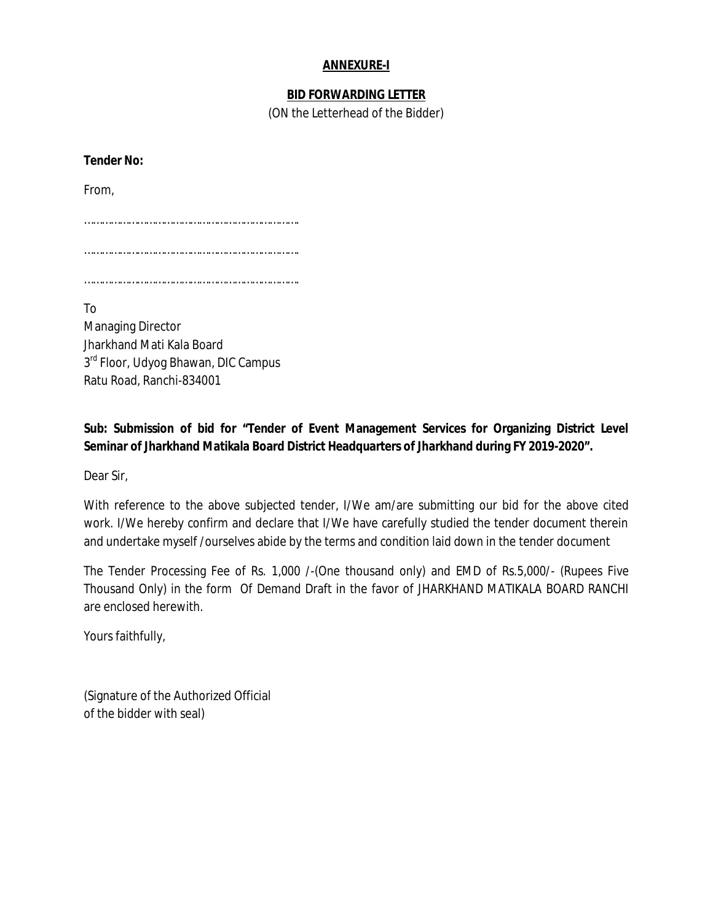### **ANNEXURE-I**

### **BID FORWARDING LETTER**

(ON the Letterhead of the Bidder)

**Tender No:**  From, ………………………………………………………………. ………………………………………………………………. ……………………………………………………………….

To Managing Director Jharkhand Mati Kala Board 3<sup>rd</sup> Floor, Udyog Bhawan, DIC Campus Ratu Road, Ranchi-834001

**Sub: Submission of bid for "Tender of Event Management Services for Organizing District Level Seminar of Jharkhand Matikala Board District Headquarters of Jharkhand during FY 2019-2020".**

Dear Sir,

With reference to the above subjected tender, I/We am/are submitting our bid for the above cited work. I/We hereby confirm and declare that I/We have carefully studied the tender document therein and undertake myself /ourselves abide by the terms and condition laid down in the tender document

The Tender Processing Fee of Rs. 1,000 /-(One thousand only) and EMD of Rs.5,000/- (Rupees Five Thousand Only) in the form Of Demand Draft in the favor of JHARKHAND MATIKALA BOARD RANCHI are enclosed herewith.

Yours faithfully,

(Signature of the Authorized Official of the bidder with seal)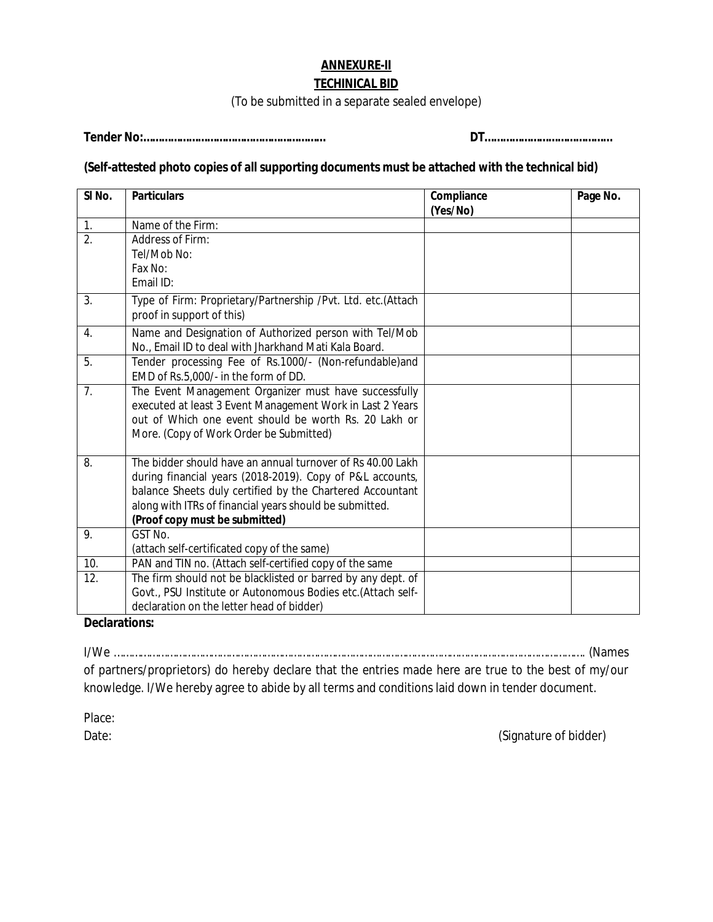# **ANNEXURE-II**

#### **TECHINICAL BID**

(To be submitted in a separate sealed envelope)

**Tender No:…………………………………………………… DT……………………………………**

# **(Self-attested photo copies of all supporting documents must be attached with the technical bid)**

| SI <sub>No.</sub> | <b>Particulars</b>                                           | Compliance<br>(Yes/No) | Page No. |
|-------------------|--------------------------------------------------------------|------------------------|----------|
| 1.                | Name of the Firm:                                            |                        |          |
| $\overline{2}$ .  | Address of Firm:                                             |                        |          |
|                   | Tel/Mob No:                                                  |                        |          |
|                   | Fax No:                                                      |                        |          |
|                   | Email ID:                                                    |                        |          |
| 3.                | Type of Firm: Proprietary/Partnership /Pvt. Ltd. etc.(Attach |                        |          |
|                   | proof in support of this)                                    |                        |          |
| 4.                | Name and Designation of Authorized person with Tel/Mob       |                        |          |
|                   | No., Email ID to deal with Jharkhand Mati Kala Board.        |                        |          |
| 5.                | Tender processing Fee of Rs.1000/- (Non-refundable)and       |                        |          |
|                   | EMD of Rs.5,000/- in the form of DD.                         |                        |          |
| 7 <sub>1</sub>    | The Event Management Organizer must have successfully        |                        |          |
|                   | executed at least 3 Event Management Work in Last 2 Years    |                        |          |
|                   | out of Which one event should be worth Rs. 20 Lakh or        |                        |          |
|                   | More. (Copy of Work Order be Submitted)                      |                        |          |
| 8.                | The bidder should have an annual turnover of Rs 40.00 Lakh   |                        |          |
|                   | during financial years (2018-2019). Copy of P&L accounts,    |                        |          |
|                   | balance Sheets duly certified by the Chartered Accountant    |                        |          |
|                   | along with ITRs of financial years should be submitted.      |                        |          |
|                   | (Proof copy must be submitted)                               |                        |          |
| 9.                | GST No.                                                      |                        |          |
|                   | (attach self-certificated copy of the same)                  |                        |          |
| 10.               | PAN and TIN no. (Attach self-certified copy of the same      |                        |          |
| 12.               | The firm should not be blacklisted or barred by any dept. of |                        |          |
|                   | Govt., PSU Institute or Autonomous Bodies etc.(Attach self-  |                        |          |
|                   | declaration on the letter head of bidder)                    |                        |          |

**Declarations:**

I/We ……………………………………………………………………………………………………………………………………………. (Names of partners/proprietors) do hereby declare that the entries made here are true to the best of my/our knowledge. I/We hereby agree to abide by all terms and conditions laid down in tender document.

Place:

Date: (Signature of bidder)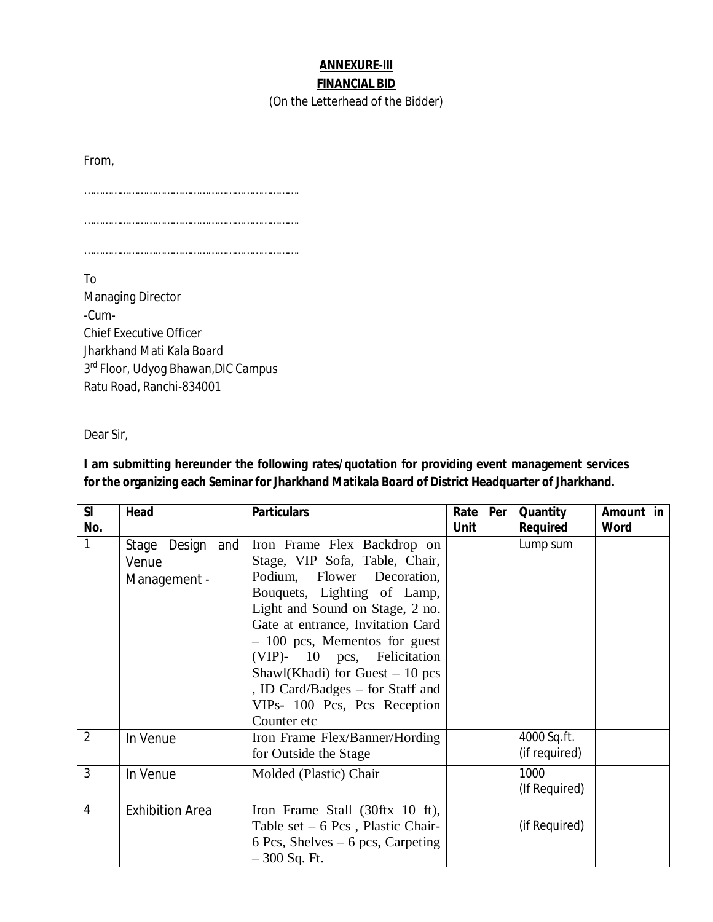## **ANNEXURE-III FINANCIAL BID**

(On the Letterhead of the Bidder)

From,

……………………………………………………………….

……………………………………………………………….

……………………………………………………………….

To Managing Director -Cum-Chief Executive Officer Jharkhand Mati Kala Board 3<sup>rd</sup> Floor, Udyog Bhawan, DIC Campus Ratu Road, Ranchi-834001

Dear Sir,

**I am submitting hereunder the following rates/quotation for providing event management services for the organizing each Seminar for Jharkhand Matikala Board of District Headquarter of Jharkhand.**

| SI             | Head                                      | <b>Particulars</b>                                                                                                                                                                                                                                                                                                                                                                         | Rate Per    | Quantity                     | Amount in   |
|----------------|-------------------------------------------|--------------------------------------------------------------------------------------------------------------------------------------------------------------------------------------------------------------------------------------------------------------------------------------------------------------------------------------------------------------------------------------------|-------------|------------------------------|-------------|
| No.            |                                           |                                                                                                                                                                                                                                                                                                                                                                                            | <b>Unit</b> | Required                     | <b>Word</b> |
| 1              | Stage Design and<br>Venue<br>Management - | Iron Frame Flex Backdrop on<br>Stage, VIP Sofa, Table, Chair,<br>Podium, Flower Decoration,<br>Bouquets, Lighting of Lamp,<br>Light and Sound on Stage, 2 no.<br>Gate at entrance, Invitation Card<br>$-100$ pcs, Mementos for guest<br>(VIP)- 10 pcs, Felicitation<br>Shawl(Khadi) for Guest $-10$ pcs<br>, ID Card/Badges – for Staff and<br>VIPs- 100 Pcs, Pcs Reception<br>Counter etc |             | Lump sum                     |             |
| $\overline{2}$ | In Venue                                  | Iron Frame Flex/Banner/Hording<br>for Outside the Stage                                                                                                                                                                                                                                                                                                                                    |             | 4000 Sq.ft.<br>(if required) |             |
| 3              | In Venue                                  | Molded (Plastic) Chair                                                                                                                                                                                                                                                                                                                                                                     |             | 1000<br>(If Required)        |             |
| 4              | <b>Exhibition Area</b>                    | Iron Frame Stall (30ftx 10 ft),<br>Table set $-6$ Pcs, Plastic Chair-<br>6 Pcs, Shelves $-6$ pcs, Carpeting<br>$-300$ Sq. Ft.                                                                                                                                                                                                                                                              |             | (if Required)                |             |